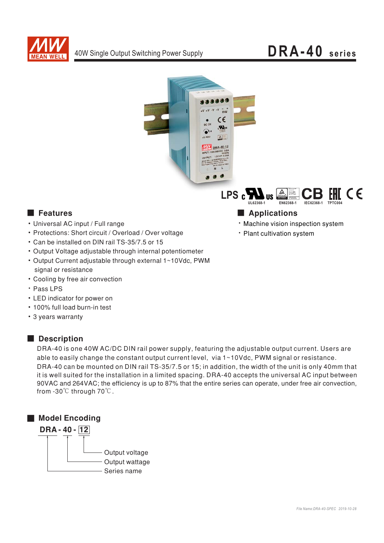

# DRA-40 series





## **E** Features

- Universal AC input / Full range
- Protections: Short circuit / Overload / Over voltage
- Can be installed on DIN rail TS-35/7.5 or 15
- Output Voltage adjustable through internal potentiometer
- Output Current adjustable through external 1~10Vdc, PWM signal or resistance
- Cooling by free air convection
- · Pass LPS
- LED indicator for power on
- . 100% full load burn-in test
- 3 years warranty

### Description

DRA-40 is one 40W AC/DC DIN rail power supply, featuring the adjustable output current. Users are able to easily change the constant output current level, via 1~10Vdc, PWM signal or resistance. DRA-40 can be mounted on DIN rail TS-35/7.5 or 15; in addition, the width of the unit is only 40mm that it is well suited for the installation in a limited spacing. DRA-40 accepts the universal AC input between 90VAC and 264VAC; the efficiency is up to 87% that the entire series can operate, under free air convection, from -30℃ through 70℃.





- · Machine vision inspection system
- · Plant cultivation system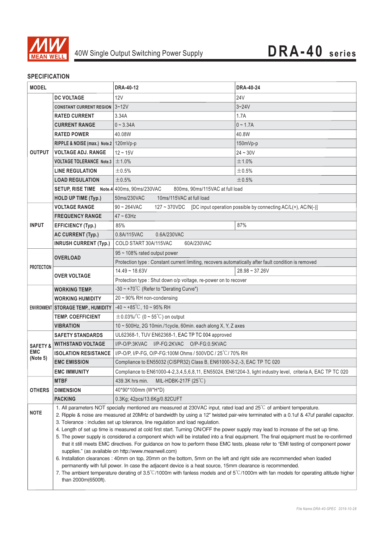

## **SPECIFICATION**

| <b>MODEL</b>                                  |                                                                                                                                                                                                                                                                 | <b>DRA-40-12</b>                                                                                                                                        | <b>DRA-40-24</b> |  |
|-----------------------------------------------|-----------------------------------------------------------------------------------------------------------------------------------------------------------------------------------------------------------------------------------------------------------------|---------------------------------------------------------------------------------------------------------------------------------------------------------|------------------|--|
|                                               | <b>DC VOLTAGE</b>                                                                                                                                                                                                                                               | 12V                                                                                                                                                     | <b>24V</b>       |  |
|                                               | <b>CONSTANT CURRENT REGION 3~12V</b>                                                                                                                                                                                                                            |                                                                                                                                                         | $3 - 24V$        |  |
|                                               | <b>RATED CURRENT</b>                                                                                                                                                                                                                                            | 3.34A                                                                                                                                                   | 1.7A             |  |
|                                               | <b>CURRENT RANGE</b>                                                                                                                                                                                                                                            | $0 - 3.34A$                                                                                                                                             | $0 - 1.7A$       |  |
|                                               | <b>RATED POWER</b>                                                                                                                                                                                                                                              | 40.08W                                                                                                                                                  | 40.8W            |  |
|                                               | RIPPLE & NOISE (max.) Note.2   120mVp-p                                                                                                                                                                                                                         |                                                                                                                                                         | 150mVp-p         |  |
| <b>OUTPUT</b>                                 | <b>VOLTAGE ADJ. RANGE</b>                                                                                                                                                                                                                                       | $12 - 15V$                                                                                                                                              | $24 - 30V$       |  |
|                                               | <b>VOLTAGE TOLERANCE Note.3</b>                                                                                                                                                                                                                                 | ±1.0%                                                                                                                                                   | ±1.0%            |  |
|                                               | <b>LINE REGULATION</b>                                                                                                                                                                                                                                          | $\pm 0.5\%$                                                                                                                                             | ±0.5%            |  |
|                                               | <b>LOAD REGULATION</b>                                                                                                                                                                                                                                          | ±0.5%                                                                                                                                                   | ±0.5%            |  |
|                                               | SETUP, RISE TIME Note.4 400ms, 90ms/230VAC                                                                                                                                                                                                                      | 800ms, 90ms/115VAC at full load                                                                                                                         |                  |  |
|                                               | <b>HOLD UP TIME (Typ.)</b>                                                                                                                                                                                                                                      | 10ms/115VAC at full load<br>50ms/230VAC                                                                                                                 |                  |  |
|                                               | <b>VOLTAGE RANGE</b>                                                                                                                                                                                                                                            | 127 ~ 370VDC [DC input operation possible by connecting AC/L(+), AC/N(-)]<br>$90 - 264$ VAC                                                             |                  |  |
| <b>INPUT</b>                                  | <b>FREQUENCY RANGE</b>                                                                                                                                                                                                                                          | $47 \sim 63$ Hz                                                                                                                                         |                  |  |
|                                               | <b>EFFICIENCY (Typ.)</b>                                                                                                                                                                                                                                        | 85%                                                                                                                                                     | 87%              |  |
|                                               | <b>AC CURRENT (Typ.)</b>                                                                                                                                                                                                                                        | 0.8A/115VAC<br>0.6A/230VAC                                                                                                                              |                  |  |
|                                               | <b>INRUSH CURRENT (Typ.)</b>                                                                                                                                                                                                                                    | COLD START 30A/115VAC<br>60A/230VAC                                                                                                                     |                  |  |
| <b>PROTECTION</b>                             | <b>OVERLOAD</b>                                                                                                                                                                                                                                                 | 95 ~ 108% rated output power                                                                                                                            |                  |  |
|                                               |                                                                                                                                                                                                                                                                 | Protection type : Constant current limiting, recovers automatically after fault condition is removed                                                    |                  |  |
|                                               | <b>OVER VOLTAGE</b>                                                                                                                                                                                                                                             | $14.49 - 18.63V$                                                                                                                                        | $28.98 - 37.26V$ |  |
|                                               |                                                                                                                                                                                                                                                                 | Protection type : Shut down o/p voltage, re-power on to recover                                                                                         |                  |  |
|                                               | <b>WORKING TEMP.</b>                                                                                                                                                                                                                                            | -30 ~ +70 $^{\circ}$ C (Refer to "Derating Curve")                                                                                                      |                  |  |
|                                               | <b>WORKING HUMIDITY</b>                                                                                                                                                                                                                                         | 20 ~ 90% RH non-condensing                                                                                                                              |                  |  |
|                                               | ENVIRONMENT STORAGE TEMP., HUMIDITY                                                                                                                                                                                                                             | $-40 \sim +85^{\circ}$ C, 10 ~ 95% RH                                                                                                                   |                  |  |
|                                               | <b>TEMP. COEFFICIENT</b>                                                                                                                                                                                                                                        | $\pm$ 0.03%/°C (0 ~ 55°C) on output                                                                                                                     |                  |  |
|                                               | <b>VIBRATION</b>                                                                                                                                                                                                                                                | 10 ~ 500Hz, 2G 10min./1cycle, 60min. each along X, Y, Z axes                                                                                            |                  |  |
| <b>SAFETY &amp;</b><br><b>EMC</b><br>(Note 5) | <b>SAFETY STANDARDS</b>                                                                                                                                                                                                                                         | UL62368-1, TUV EN62368-1, EAC TP TC 004 approved                                                                                                        |                  |  |
|                                               | <b>WITHSTAND VOLTAGE</b>                                                                                                                                                                                                                                        | $I/P$ -O/P:3KVAC<br>I/P-FG:2KVAC O/P-FG:0.5KVAC                                                                                                         |                  |  |
|                                               | <b>ISOLATION RESISTANCE</b>                                                                                                                                                                                                                                     | I/P-O/P, I/P-FG, O/P-FG:100M Ohms / 500VDC / 25°C/70% RH                                                                                                |                  |  |
|                                               | <b>EMC EMISSION</b>                                                                                                                                                                                                                                             | Compliance to EN55032 (CISPR32) Class B, EN61000-3-2,-3, EAC TP TC 020                                                                                  |                  |  |
|                                               | <b>EMC IMMUNITY</b><br>Compliance to EN61000-4-2,3,4,5,6,8,11, EN55024, EN61204-3, light industry level, criteria A, EAC TP TC 020                                                                                                                              |                                                                                                                                                         |                  |  |
| <b>OTHERS</b>                                 | <b>MTBF</b>                                                                                                                                                                                                                                                     | MIL-HDBK-217F $(25^{\circ}C)$<br>439.3K hrs min.                                                                                                        |                  |  |
|                                               | <b>DIMENSION</b>                                                                                                                                                                                                                                                | 40*90*100mm (W*H*D)                                                                                                                                     |                  |  |
|                                               | <b>PACKING</b>                                                                                                                                                                                                                                                  | 0.3Kg; 42pcs/13.6Kg/0.82CUFT                                                                                                                            |                  |  |
| <b>NOTE</b>                                   | 1. All parameters NOT specially mentioned are measured at 230VAC input, rated load and 25°C of ambient temperature.<br>2. Ripple & noise are measured at 20MHz of bandwidth by using a 12" twisted pair-wire terminated with a 0.1uf & 47uf parallel capacitor. |                                                                                                                                                         |                  |  |
|                                               | 3. Tolerance : includes set up tolerance, line regulation and load regulation.                                                                                                                                                                                  |                                                                                                                                                         |                  |  |
|                                               |                                                                                                                                                                                                                                                                 | 4. Length of set up time is measured at cold first start. Turning ON/OFF the power supply may lead to increase of the set up time.                      |                  |  |
|                                               | 5. The power supply is considered a component which will be installed into a final equipment. The final equipment must be re-confirmed                                                                                                                          |                                                                                                                                                         |                  |  |
|                                               | that it still meets EMC directives. For guidance on how to perform these EMC tests, please refer to "EMI testing of component power<br>supplies." (as available on http://www.meanwell.com)                                                                     |                                                                                                                                                         |                  |  |
|                                               | 6. Installation clearances : 40mm on top, 20mm on the bottom, 5mm on the left and right side are recommended when loaded                                                                                                                                        |                                                                                                                                                         |                  |  |
|                                               | permanently with full power. In case the adjacent device is a heat source, 15mm clearance is recommended.                                                                                                                                                       |                                                                                                                                                         |                  |  |
|                                               | than 2000m(6500ft).                                                                                                                                                                                                                                             | 7. The ambient temperature derating of $3.5^{\circ}$ /1000m with fanless models and of $5^{\circ}$ /1000m with fan models for operating altitude higher |                  |  |
|                                               |                                                                                                                                                                                                                                                                 |                                                                                                                                                         |                  |  |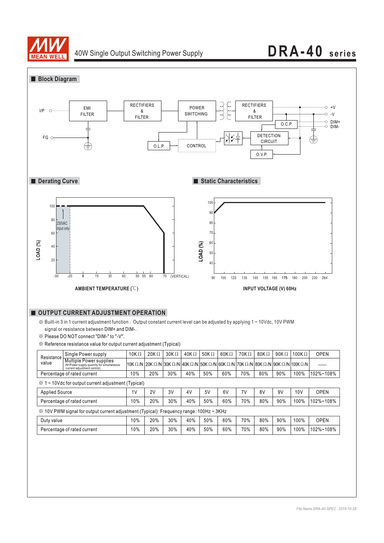

## 40W Single Output Switching Power Supply **DRA-40 series**

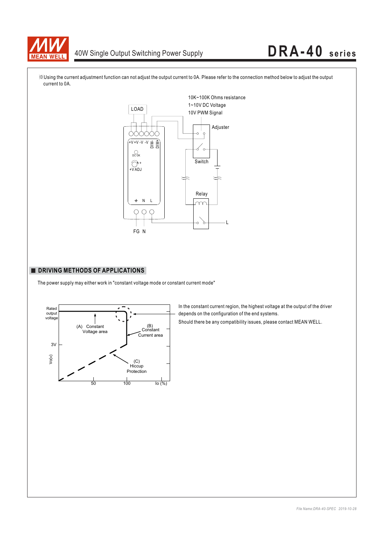

# 40W Single Output Switching Power Supply **DRA-40 series**



※Using the current adjustment function can not adjust the output current to 0A. Please refer to the connection method below to adjust the output current to 0A.

### **DRIVING METHODS OF APPLICATIONS**

The power supply may either work in "constant voltage mode or constant current mode"



In the constant current region, the highest voltage at the output of the driver depends on the configuration of the end systems.

Should there be any compatibility issues, please contact MEAN WELL.